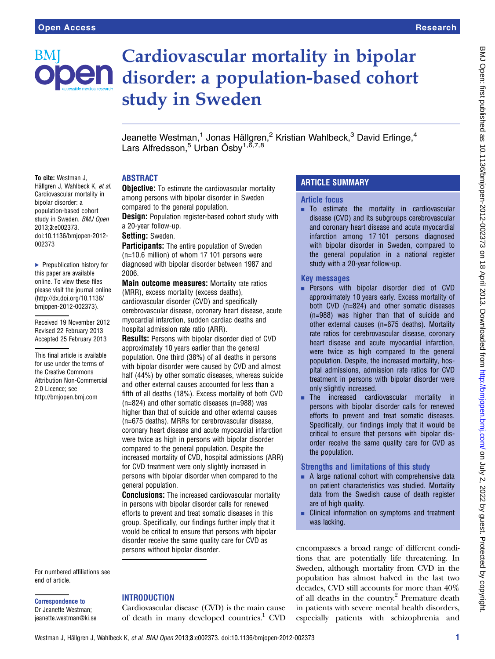# BMI

# Cardiovascular mortality in bipolar **Den** disorder: a population-based cohort study in Sweden

Jeanette Westman,<sup>1</sup> Jonas Hällgren,<sup>2</sup> Kristian Wahlbeck,<sup>3</sup> David Erlinge,<sup>4</sup> Lars Alfredsson.<sup>5</sup> Urban Ösby<sup>1,6,7,8</sup>

#### To cite: Westman J, Hällgren J, Wahlbeck K, et al. Cardiovascular mortality in bipolar disorder: a population-based cohort study in Sweden. BMJ Open 2013;3:e002373. doi:10.1136/bmjopen-2012- 002373

▶ Prepublication history for this paper are available online. To view these files please visit the journal online [\(http://dx.doi.org/10.1136/](http://dx.doi.org/10.1136/bmjopen-2012-002373) [bmjopen-2012-002373](http://dx.doi.org/10.1136/bmjopen-2012-002373)).

Received 19 November 2012 Revised 22 February 2013 Accepted 25 February 2013

This final article is available for use under the terms of the Creative Commons Attribution Non-Commercial 2.0 Licence; see <http://bmjopen.bmj.com>

#### For numbered affiliations see end of article.

# Correspondence to

Dr Jeanette Westman; jeanette.westman@ki.se

# ABSTRACT

**Objective:** To estimate the cardiovascular mortality among persons with bipolar disorder in Sweden compared to the general population.

**Design:** Population register-based cohort study with a 20-year follow-up.

Setting: Sweden.

**Participants:** The entire population of Sweden (n=10.6 million) of whom 17 101 persons were diagnosed with bipolar disorder between 1987 and 2006.

**Main outcome measures:** Mortality rate ratios (MRR), excess mortality (excess deaths), cardiovascular disorder (CVD) and specifically cerebrovascular disease, coronary heart disease, acute myocardial infarction, sudden cardiac deaths and hospital admission rate ratio (ARR).

Results: Persons with bipolar disorder died of CVD approximately 10 years earlier than the general population. One third (38%) of all deaths in persons with bipolar disorder were caused by CVD and almost half (44%) by other somatic diseases, whereas suicide and other external causes accounted for less than a fifth of all deaths (18%). Excess mortality of both CVD (n=824) and other somatic diseases (n=988) was higher than that of suicide and other external causes (n=675 deaths). MRRs for cerebrovascular disease, coronary heart disease and acute myocardial infarction were twice as high in persons with bipolar disorder compared to the general population. Despite the increased mortality of CVD, hospital admissions (ARR) for CVD treatment were only slightly increased in persons with bipolar disorder when compared to the general population.

**Conclusions:** The increased cardiovascular mortality in persons with bipolar disorder calls for renewed efforts to prevent and treat somatic diseases in this group. Specifically, our findings further imply that it would be critical to ensure that persons with bipolar disorder receive the same quality care for CVD as persons without bipolar disorder.

**INTRODUCTION** 

# Cardiovascular disease (CVD) is the main cause of death in many developed countries.<sup>1</sup> CVD

# ARTICLE SUMMARY

# Article focus

 $\blacksquare$  To estimate the mortality in cardiovascular disease (CVD) and its subgroups cerebrovascular and coronary heart disease and acute myocardial infarction among 17 101 persons diagnosed with bipolar disorder in Sweden, compared to the general population in a national register study with a 20-year follow-up.

# Key messages

- **E** Persons with bipolar disorder died of CVD approximately 10 years early. Excess mortality of both CVD (n=824) and other somatic diseases (n=988) was higher than that of suicide and other external causes (n=675 deaths). Mortality rate ratios for cerebrovascular disease, coronary heart disease and acute myocardial infarction, were twice as high compared to the general population. Despite, the increased mortality, hospital admissions, admission rate ratios for CVD treatment in persons with bipolar disorder were only slightly increased.
- **EXECUTE:** The increased cardiovascular mortality in persons with bipolar disorder calls for renewed efforts to prevent and treat somatic diseases. Specifically, our findings imply that it would be critical to ensure that persons with bipolar disorder receive the same quality care for CVD as the population.

# Strengths and limitations of this study

- $\blacksquare$  A large national cohort with comprehensive data on patient characteristics was studied. Mortality data from the Swedish cause of death register are of high quality.
- **EXECUTE:** Clinical information on symptoms and treatment was lacking.

encompasses a broad range of different conditions that are potentially life threatening. In Sweden, although mortality from CVD in the population has almost halved in the last two decades, CVD still accounts for more than 40% of all deaths in the country.<sup>2</sup> Premature death in patients with severe mental health disorders, especially patients with schizophrenia and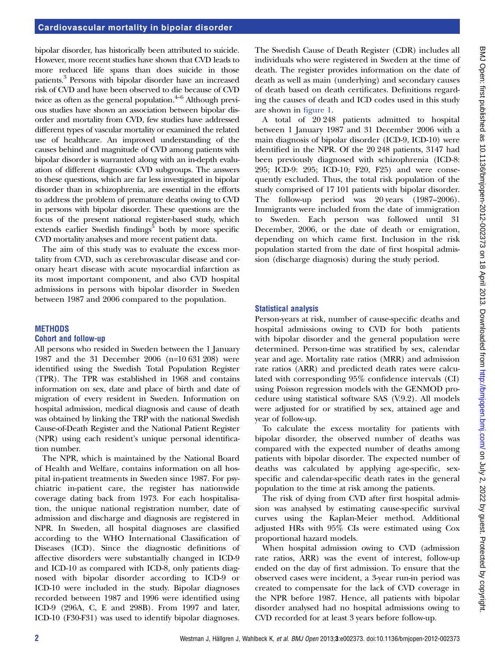bipolar disorder, has historically been attributed to suicide. However, more recent studies have shown that CVD leads to more reduced life spans than does suicide in those patients.3 Persons with bipolar disorder have an increased risk of CVD and have been observed to die because of CVD twice as often as the general population. $4-6$  Although previous studies have shown an association between bipolar disorder and mortality from CVD, few studies have addressed different types of vascular mortality or examined the related use of healthcare. An improved understanding of the causes behind and magnitude of CVD among patients with bipolar disorder is warranted along with an in-depth evaluation of different diagnostic CVD subgroups. The answers to these questions, which are far less investigated in bipolar disorder than in schizophrenia, are essential in the efforts to address the problem of premature deaths owing to CVD in persons with bipolar disorder. These questions are the focus of the present national register-based study, which extends earlier Swedish findings<sup>5</sup> both by more specific CVD mortality analyses and more recent patient data.

The aim of this study was to evaluate the excess mortality from CVD, such as cerebrovascular disease and coronary heart disease with acute myocardial infarction as its most important component, and also CVD hospital admissions in persons with bipolar disorder in Sweden between 1987 and 2006 compared to the population.

#### **METHODS**

#### Cohort and follow-up

All persons who resided in Sweden between the 1 January 1987 and the 31 December 2006 (n=10 631 208) were identified using the Swedish Total Population Register (TPR). The TPR was established in 1968 and contains information on sex, date and place of birth and date of migration of every resident in Sweden. Information on hospital admission, medical diagnosis and cause of death was obtained by linking the TRP with the national Swedish Cause-of-Death Register and the National Patient Register (NPR) using each resident's unique personal identification number.

The NPR, which is maintained by the National Board of Health and Welfare, contains information on all hospital in-patient treatments in Sweden since 1987. For psychiatric in-patient care, the register has nationwide coverage dating back from 1973. For each hospitalisation, the unique national registration number, date of admission and discharge and diagnosis are registered in NPR. In Sweden, all hospital diagnoses are classified according to the WHO International Classification of Diseases (ICD). Since the diagnostic definitions of affective disorders were substantially changed in ICD-9 and ICD-10 as compared with ICD-8, only patients diagnosed with bipolar disorder according to ICD-9 or ICD-10 were included in the study. Bipolar diagnoses recorded between 1987 and 1996 were identified using ICD-9 (296A, C, E and 298B). From 1997 and later, ICD-10 (F30-F31) was used to identify bipolar diagnoses.

The Swedish Cause of Death Register (CDR) includes all individuals who were registered in Sweden at the time of death. The register provides information on the date of death as well as main (underlying) and secondary causes of death based on death certificates. Definitions regarding the causes of death and ICD codes used in this study are shown in figure 1.

A total of 20 248 patients admitted to hospital between 1 January 1987 and 31 December 2006 with a main diagnosis of bipolar disorder (ICD-9, ICD-10) were identified in the NPR. Of the 20 248 patients, 3147 had been previously diagnosed with schizophrenia (ICD-8: 295; ICD-9: 295; ICD-10; F20, F25) and were consequently excluded. Thus, the total risk population of the study comprised of 17 101 patients with bipolar disorder. The follow-up period was 20 years (1987–2006). Immigrants were included from the date of immigration to Sweden. Each person was followed until 31 December, 2006, or the date of death or emigration, depending on which came first. Inclusion in the risk population started from the date of first hospital admission (discharge diagnosis) during the study period.

#### Statistical analysis

Person-years at risk, number of cause-specific deaths and hospital admissions owing to CVD for both patients with bipolar disorder and the general population were determined. Person-time was stratified by sex, calendar year and age. Mortality rate ratios (MRR) and admission rate ratios (ARR) and predicted death rates were calculated with corresponding 95% confidence intervals (CI) using Poisson regression models with the GENMOD procedure using statistical software SAS (V.9.2). All models were adjusted for or stratified by sex, attained age and year of follow-up.

To calculate the excess mortality for patients with bipolar disorder, the observed number of deaths was compared with the expected number of deaths among patients with bipolar disorder. The expected number of deaths was calculated by applying age-specific, sexspecific and calendar-specific death rates in the general population to the time at risk among the patients.

The risk of dying from CVD after first hospital admission was analysed by estimating cause-specific survival curves using the Kaplan-Meier method. Additional adjusted HRs with 95% CIs were estimated using Cox proportional hazard models.

When hospital admission owing to CVD (admission rate ratios, ARR) was the event of interest, follow-up ended on the day of first admission. To ensure that the observed cases were incident, a 3-year run-in period was created to compensate for the lack of CVD coverage in the NPR before 1987. Hence, all patients with bipolar disorder analysed had no hospital admissions owing to CVD recorded for at least 3 years before follow-up.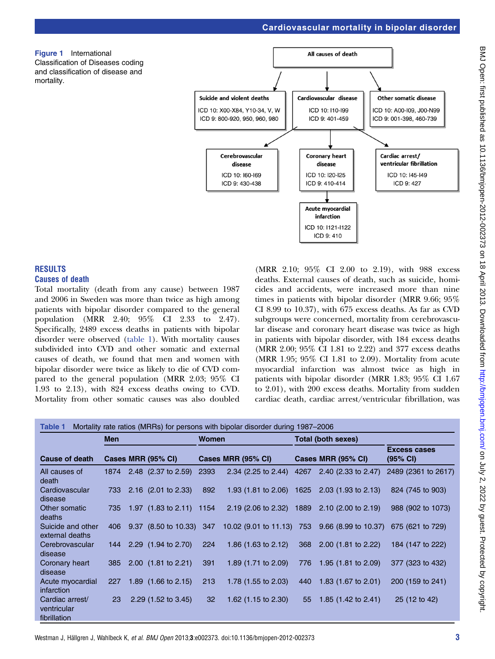



# RESULTS Causes of death

Total mortality (death from any cause) between 1987 and 2006 in Sweden was more than twice as high among patients with bipolar disorder compared to the general population (MRR 2.40; 95% CI 2.33 to 2.47). Specifically, 2489 excess deaths in patients with bipolar disorder were observed (table 1). With mortality causes subdivided into CVD and other somatic and external causes of death, we found that men and women with bipolar disorder were twice as likely to die of CVD compared to the general population (MRR 2.03; 95% CI 1.93 to 2.13), with 824 excess deaths owing to CVD. Mortality from other somatic causes was also doubled

(MRR 2.10; 95% CI 2.00 to 2.19), with 988 excess deaths. External causes of death, such as suicide, homicides and accidents, were increased more than nine times in patients with bipolar disorder (MRR 9.66; 95% CI 8.99 to 10.37), with 675 excess deaths. As far as CVD subgroups were concerned, mortality from cerebrovascular disease and coronary heart disease was twice as high in patients with bipolar disorder, with 184 excess deaths (MRR 2.00; 95% CI 1.81 to 2.22) and 377 excess deaths (MRR 1.95; 95% CI 1.81 to 2.09). Mortality from acute myocardial infarction was almost twice as high in patients with bipolar disorder (MRR 1.83; 95% CI 1.67 to 2.01), with 200 excess deaths. Mortality from sudden cardiac death, cardiac arrest/ventricular fibrillation, was

| Table 1                                        |            |                                     |              | Mortality rate ratios (MRRs) for persons with bipolar disorder during 1987–2006 |      |                                |                                           |
|------------------------------------------------|------------|-------------------------------------|--------------|---------------------------------------------------------------------------------|------|--------------------------------|-------------------------------------------|
|                                                | <b>Men</b> |                                     | <b>Women</b> |                                                                                 |      | Total (both sexes)             |                                           |
| Cause of death                                 |            | Cases MRR (95% CI)                  |              | Cases MRR (95% CI)                                                              |      | Cases MRR (95% CI)             | <b>Excess cases</b><br>$(95% \text{ Cl})$ |
| All causes of<br>death                         | 1874       | 2.48 $(2.37 \text{ to } 2.59)$      | 2393         | $2.34$ (2.25 to 2.44)                                                           | 4267 | 2.40 (2.33 to 2.47)            | 2489 (2361 to 2617)                       |
| Cardiovascular<br>disease                      | 733        | $2.16$ (2.01 to 2.33)               | 892          | 1.93 $(1.81 \text{ to } 2.06)$                                                  |      | 1625 2.03 (1.93 to 2.13)       | 824 (745 to 903)                          |
| Other somatic<br>deaths                        | 735        | 1.97 $(1.83 \text{ to } 2.11)$ 1154 |              | $2.19$ (2.06 to 2.32)                                                           |      | 1889 2.10 (2.00 to 2.19)       | 988 (902 to 1073)                         |
| Suicide and other<br>external deaths           | 406        | $9.37$ (8.50 to 10.33)              | -347         | 10.02 (9.01 to 11.13) 753 9.66 (8.99 to 10.37)                                  |      |                                | 675 (621 to 729)                          |
| Cerebrovascular<br>disease                     | 144        | 2.29 $(1.94 \text{ to } 2.70)$      | 224          | 1.86 $(1.63 \text{ to } 2.12)$                                                  |      | 368 2.00 (1.81 to 2.22)        | 184 (147 to 222)                          |
| Coronary heart<br>disease                      | 385        | $2.00$ $(1.81 \text{ to } 2.21)$    | 391          | 1.89 (1.71 to 2.09)                                                             | 776  | 1.95 (1.81 to 2.09)            | 377 (323 to 432)                          |
| Acute myocardial<br>infarction                 | 227        | 1.89 $(1.66 \text{ to } 2.15)$      | 213          | 1.78 (1.55 to 2.03)                                                             | 440  | 1.83 $(1.67 \text{ to } 2.01)$ | 200 (159 to 241)                          |
| Cardiac arrest/<br>ventricular<br>fibrillation | 23         | 2.29 (1.52 to 3.45)                 | 32           | 1.62 $(1.15 \text{ to } 2.30)$                                                  | 55   | 1.85 $(1.42 \text{ to } 2.41)$ | 25 (12 to 42)                             |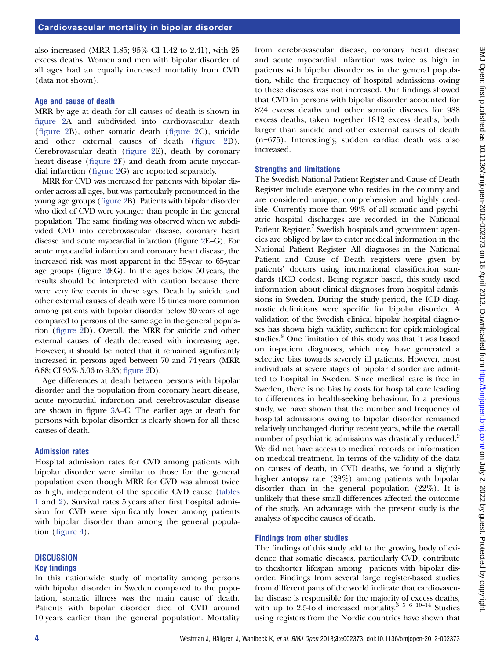also increased (MRR 1.85; 95% CI 1.42 to 2.41), with 25 excess deaths. Women and men with bipolar disorder of all ages had an equally increased mortality from CVD (data not shown).

#### Age and cause of death

MRR by age at death for all causes of death is shown in figure 2A and subdivided into cardiovascular death (figure 2B), other somatic death (figure 2C), suicide and other external causes of death (figure 2D). Cerebrovascular death (figure 2E), death by coronary heart disease (figure 2F) and death from acute myocardial infarction (figure 2G) are reported separately.

MRR for CVD was increased for patients with bipolar disorder across all ages, but was particularly pronounced in the young age groups (figure 2B). Patients with bipolar disorder who died of CVD were younger than people in the general population. The same finding was observed when we subdivided CVD into cerebrovascular disease, coronary heart disease and acute myocardial infarction (figure 2E–G). For acute myocardial infarction and coronary heart disease, the increased risk was most apparent in the 55-year to 65-year age groups (figure 2F,G). In the ages below 50 years, the results should be interpreted with caution because there were very few events in these ages. Death by suicide and other external causes of death were 15 times more common among patients with bipolar disorder below 30 years of age compared to persons of the same age in the general population (figure 2D). Overall, the MRR for suicide and other external causes of death decreased with increasing age. However, it should be noted that it remained significantly increased in persons aged between 70 and 74 years (MRR 6.88; CI 95% 5.06 to 9.35; figure 2D).

Age differences at death between persons with bipolar disorder and the population from coronary heart disease, acute myocardial infarction and cerebrovascular disease are shown in figure 3A–C. The earlier age at death for persons with bipolar disorder is clearly shown for all these causes of death.

#### Admission rates

Hospital admission rates for CVD among patients with bipolar disorder were similar to those for the general population even though MRR for CVD was almost twice as high, independent of the specific CVD cause (tables 1 and 2). Survival rates 5 years after first hospital admission for CVD were significantly lower among patients with bipolar disorder than among the general population (figure 4).

#### **DISCUSSION** Key findings

In this nationwide study of mortality among persons with bipolar disorder in Sweden compared to the population, somatic illness was the main cause of death. Patients with bipolar disorder died of CVD around 10 years earlier than the general population. Mortality from cerebrovascular disease, coronary heart disease and acute myocardial infarction was twice as high in patients with bipolar disorder as in the general population, while the frequency of hospital admissions owing to these diseases was not increased. Our findings showed that CVD in persons with bipolar disorder accounted for 824 excess deaths and other somatic diseases for 988 excess deaths, taken together 1812 excess deaths, both larger than suicide and other external causes of death (n=675). Interestingly, sudden cardiac death was also increased.

#### Strengths and limitations

The Swedish National Patient Register and Cause of Death Register include everyone who resides in the country and are considered unique, comprehensive and highly credible. Currently more than 99% of all somatic and psychiatric hospital discharges are recorded in the National Patient Register.<sup>7</sup> Swedish hospitals and government agencies are obliged by law to enter medical information in the National Patient Register. All diagnoses in the National Patient and Cause of Death registers were given by patients' doctors using international classification standards (ICD codes). Being register based, this study used information about clinical diagnoses from hospital admissions in Sweden. During the study period, the ICD diagnostic definitions were specific for bipolar disorder. A validation of the Swedish clinical bipolar hospital diagnoses has shown high validity, sufficient for epidemiological studies.8 One limitation of this study was that it was based on in-patient diagnoses, which may have generated a selective bias towards severely ill patients. However, most individuals at severe stages of bipolar disorder are admitted to hospital in Sweden. Since medical care is free in Sweden, there is no bias by costs for hospital care leading to differences in health-seeking behaviour. In a previous study, we have shown that the number and frequency of hospital admissions owing to bipolar disorder remained relatively unchanged during recent years, while the overall number of psychiatric admissions was drastically reduced.9 We did not have access to medical records or information on medical treatment. In terms of the validity of the data on causes of death, in CVD deaths, we found a slightly higher autopsy rate (28%) among patients with bipolar disorder than in the general population (22%). It is unlikely that these small differences affected the outcome of the study. An advantage with the present study is the analysis of specific causes of death.

#### Findings from other studies

The findings of this study add to the growing body of evidence that somatic diseases, particularly CVD, contribute to theshorter lifespan among patients with bipolar disorder. Findings from several large register-based studies from different parts of the world indicate that cardiovascular disease is responsible for the majority of excess deaths, with up to 2.5-fold increased mortality.<sup>3 5 6 10–14</sup> Studies using registers from the Nordic countries have shown that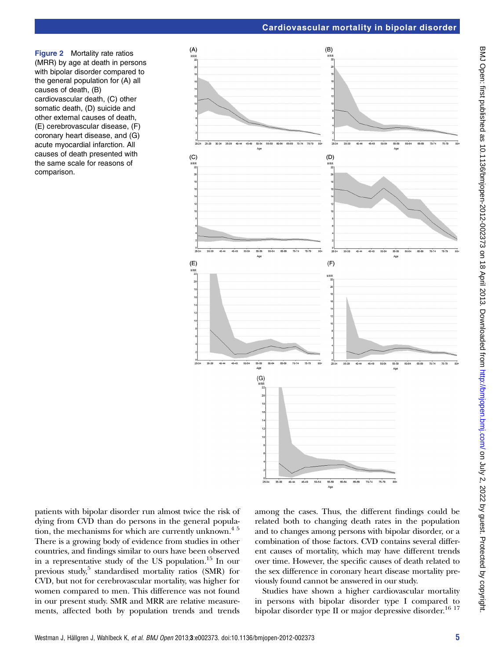Figure 2 Mortality rate ratios (MRR) by age at death in persons with bipolar disorder compared to the general population for (A) all causes of death, (B) cardiovascular death, (C) other somatic death, (D) suicide and other external causes of death, (E) cerebrovascular disease, (F) coronary heart disease, and (G) acute myocardial infarction. All causes of death presented with the same scale for reasons of comparison.



patients with bipolar disorder run almost twice the risk of dying from CVD than do persons in the general population, the mechanisms for which are currently unknown.<sup>45</sup> There is a growing body of evidence from studies in other countries, and findings similar to ours have been observed in a representative study of the US population. $15$  In our previous study,<sup>5</sup> standardised mortality ratios (SMR) for CVD, but not for cerebrovascular mortality, was higher for women compared to men. This difference was not found in our present study. SMR and MRR are relative measurements, affected both by population trends and trends among the cases. Thus, the different findings could be related both to changing death rates in the population and to changes among persons with bipolar disorder, or a combination of those factors. CVD contains several different causes of mortality, which may have different trends over time. However, the specific causes of death related to the sex difference in coronary heart disease mortality previously found cannot be answered in our study.

Studies have shown a higher cardiovascular mortality in persons with bipolar disorder type I compared to bipolar disorder type II or major depressive disorder.<sup>16 17</sup>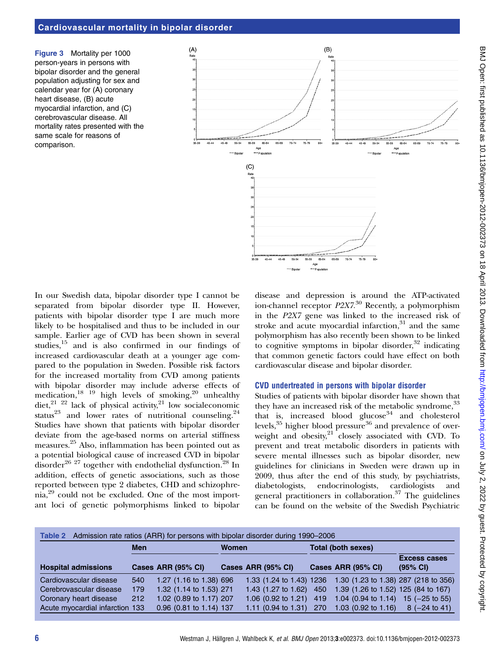Figure 3 Mortality per 1000 person-years in persons with bipolar disorder and the general population adjusting for sex and calendar year for (A) coronary heart disease, (B) acute myocardial infarction, and (C) cerebrovascular disease. All mortality rates presented with the same scale for reasons of comparison.



In our Swedish data, bipolar disorder type I cannot be separated from bipolar disorder type II. However, patients with bipolar disorder type I are much more likely to be hospitalised and thus to be included in our sample. Earlier age of CVD has been shown in several studies, $15$  and is also confirmed in our findings of increased cardiovascular death at a younger age compared to the population in Sweden. Possible risk factors for the increased mortality from CVD among patients with bipolar disorder may include adverse effects of medication,<sup>18</sup> <sup>19</sup> high levels of smoking,<sup>20</sup> unhealthy diet,<sup>21 22</sup> lack of physical activity,<sup>21</sup> low socialeconomic status<sup>23</sup> and lower rates of nutritional counseling.<sup>24</sup> Studies have shown that patients with bipolar disorder deviate from the age-based norms on arterial stiffness measures.<sup>25</sup> Also, inflammation has been pointed out as a potential biological cause of increased CVD in bipolar disorder<sup>26 27</sup> together with endothelial dysfunction.<sup>28</sup> In addition, effects of genetic associations, such as those reported between type 2 diabetes, CHD and schizophrenia,<sup>29</sup> could not be excluded. One of the most important loci of genetic polymorphisms linked to bipolar disease and depression is around the ATP-activated ion-channel receptor  $P2X7$ <sup>30</sup> Recently, a polymorphism in the P2X7 gene was linked to the increased risk of stroke and acute myocardial infarction, $31$  and the same polymorphism has also recently been shown to be linked to cognitive symptoms in bipolar disorder, $32$  indicating that common genetic factors could have effect on both cardiovascular disease and bipolar disorder.

#### CVD undertreated in persons with bipolar disorder

Studies of patients with bipolar disorder have shown that they have an increased risk of the metabolic syndrome,<sup>33</sup> that is, increased blood glucose<sup>34</sup> and cholesterol levels,<sup>35</sup> higher blood pressure<sup>36</sup> and prevalence of overweight and obesity,<sup>21</sup> closely associated with CVD. To prevent and treat metabolic disorders in patients with severe mental illnesses such as bipolar disorder, new guidelines for clinicians in Sweden were drawn up in 2009, thus after the end of this study, by psychiatrists, diabetologists, endocrinologists, cardiologists and general practitioners in collaboration.<sup>37</sup> The guidelines can be found on the website of the Swedish Psychiatric

| Admission rate ratios (ARR) for persons with bipolar disorder during 1990–2006<br>Table 2 |            |  |                         |              |  |                                    |                           |                    |  |  |  |                                             |
|-------------------------------------------------------------------------------------------|------------|--|-------------------------|--------------|--|------------------------------------|---------------------------|--------------------|--|--|--|---------------------------------------------|
|                                                                                           | <b>Men</b> |  |                         | <b>Women</b> |  |                                    | <b>Total (both sexes)</b> |                    |  |  |  |                                             |
| <b>Hospital admissions</b>                                                                |            |  | Cases ARR (95% CI)      |              |  | Cases ARR (95% CI)                 |                           | Cases ARR (95% CI) |  |  |  | <b>Excess cases</b><br>$(95\% \text{ Cl})$  |
| Cardiovascular disease                                                                    | 540        |  | 1.27 (1.16 to 1.38) 696 |              |  | 1.33 (1.24 to 1.43) 1236           |                           |                    |  |  |  | 1.30 (1.23 to 1.38) 287 (218 to 356)        |
| Cerebrovascular disease                                                                   | 179        |  | 1.32 (1.14 to 1.53) 271 |              |  | 1.43 $(1.27 \text{ to } 1.62)$ 450 |                           |                    |  |  |  | 1.39 (1.26 to 1.52) 125 (84 to 167)         |
| Coronary heart disease                                                                    | 212        |  | 1.02 (0.89 to 1.17) 207 |              |  | 1.06 $(0.92 \text{ to } 1.21)$ 419 |                           |                    |  |  |  | 1.04 (0.94 to 1.14) 15 (-25 to 55)          |
| Acute myocardial infarction 133                                                           |            |  | 0.96 (0.81 to 1.14) 137 |              |  | 1.11 (0.94 to 1.31) 270            |                           |                    |  |  |  | 1.03 (0.92 to 1.16) $8(-24 \text{ to } 41)$ |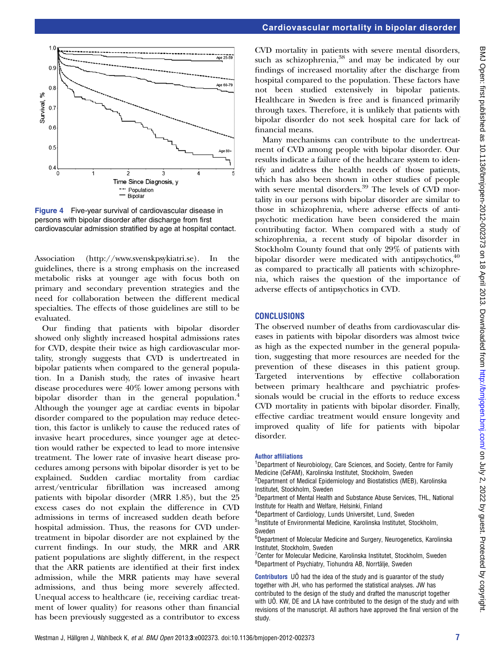$1.0$  $0.9$ Age 60-7  $0.8$ Survival, %  $0.7$  $0.6$  $0.5$ Age 80  $0.4$  $\Omega$  $\overline{c}$ 3 Time Since Diagnosis, y - Population  $-$  Bipolar

Figure 4 Five-year survival of cardiovascular disease in persons with bipolar disorder after discharge from first cardiovascular admission stratified by age at hospital contact.

Association (<http://www.svenskpsykiatri.se>). In the guidelines, there is a strong emphasis on the increased metabolic risks at younger age with focus both on primary and secondary prevention strategies and the need for collaboration between the different medical specialties. The effects of those guidelines are still to be evaluated.

Our finding that patients with bipolar disorder showed only slightly increased hospital admissions rates for CVD, despite their twice as high cardiovascular mortality, strongly suggests that CVD is undertreated in bipolar patients when compared to the general population. In a Danish study, the rates of invasive heart disease procedures were 40% lower among persons with bipolar disorder than in the general population.<sup>4</sup> Although the younger age at cardiac events in bipolar disorder compared to the population may reduce detection, this factor is unlikely to cause the reduced rates of invasive heart procedures, since younger age at detection would rather be expected to lead to more intensive treatment. The lower rate of invasive heart disease procedures among persons with bipolar disorder is yet to be explained. Sudden cardiac mortality from cardiac arrest/ventricular fibrillation was increased among patients with bipolar disorder (MRR 1.85), but the 25 excess cases do not explain the difference in CVD admissions in terms of increased sudden death before hospital admission. Thus, the reasons for CVD undertreatment in bipolar disorder are not explained by the current findings. In our study, the MRR and ARR patient populations are slightly different, in the respect that the ARR patients are identified at their first index admission, while the MRR patients may have several admissions, and thus being more severely affected. Unequal access to healthcare (ie, receiving cardiac treatment of lower quality) for reasons other than financial has been previously suggested as a contributor to excess

CVD mortality in patients with severe mental disorders, such as schizophrenia,<sup>38</sup> and may be indicated by our findings of increased mortality after the discharge from hospital compared to the population. These factors have not been studied extensively in bipolar patients. Healthcare in Sweden is free and is financed primarily through taxes. Therefore, it is unlikely that patients with bipolar disorder do not seek hospital care for lack of financial means.

Many mechanisms can contribute to the undertreatment of CVD among people with bipolar disorder. Our results indicate a failure of the healthcare system to identify and address the health needs of those patients, which has also been shown in other studies of people with severe mental disorders.<sup>39</sup> The levels of CVD mortality in our persons with bipolar disorder are similar to those in schizophrenia, where adverse effects of antipsychotic medication have been considered the main contributing factor. When compared with a study of schizophrenia, a recent study of bipolar disorder in Stockholm County found that only 29% of patients with bipolar disorder were medicated with antipsychotics,<sup>40</sup> as compared to practically all patients with schizophrenia, which raises the question of the importance of adverse effects of antipsychotics in CVD.

#### **CONCLUSIONS**

The observed number of deaths from cardiovascular diseases in patients with bipolar disorders was almost twice as high as the expected number in the general population, suggesting that more resources are needed for the prevention of these diseases in this patient group. Targeted interventions by effective collaboration between primary healthcare and psychiatric professionals would be crucial in the efforts to reduce excess CVD mortality in patients with bipolar disorder. Finally, effective cardiac treatment would ensure longevity and improved quality of life for patients with bipolar disorder.

#### Author affiliations

<sup>1</sup>Department of Neurobiology, Care Sciences, and Society, Centre for Family Medicine (CeFAM), Karolinska Institutet, Stockholm, Sweden

<sup>2</sup>Department of Medical Epidemiology and Biostatistics (MEB), Karolinska Institutet, Stockholm, Sweden

3 Department of Mental Health and Substance Abuse Services, THL, National Institute for Health and Welfare, Helsinki, Finland

4 Department of Cardiology, Lunds Universitet, Lund, Sweden

5 Institute of Environmental Medicine, Karolinska Institutet, Stockholm, Sweden

6 Department of Molecular Medicine and Surgery, Neurogenetics, Karolinska Institutet, Stockholm, Sweden

<sup>7</sup> Center for Molecular Medicine, Karolinska Institutet, Stockholm, Sweden 8 Department of Psychiatry, Tiohundra AB, Norrtälje, Sweden

Contributors UÖ had the idea of the study and is guarantor of the study together with JH, who has performed the statistical analyses. JW has contributed to the design of the study and drafted the manuscript together with UÖ. KW, DE and LA have contributed to the design of the study and with revisions of the manuscript. All authors have approved the final version of the study.